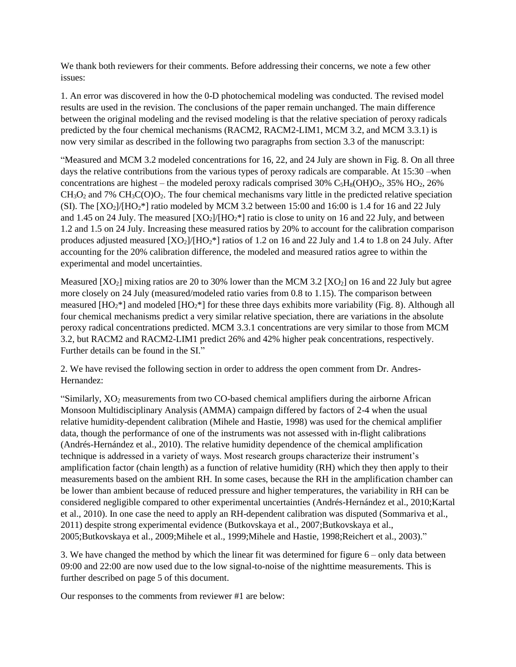We thank both reviewers for their comments. Before addressing their concerns, we note a few other issues:

1. An error was discovered in how the 0-D photochemical modeling was conducted. The revised model results are used in the revision. The conclusions of the paper remain unchanged. The main difference between the original modeling and the revised modeling is that the relative speciation of peroxy radicals predicted by the four chemical mechanisms (RACM2, RACM2-LIM1, MCM 3.2, and MCM 3.3.1) is now very similar as described in the following two paragraphs from section 3.3 of the manuscript:

"Measured and MCM 3.2 modeled concentrations for 16, 22, and 24 July are shown in Fig. 8. On all three days the relative contributions from the various types of peroxy radicals are comparable. At 15:30 –when concentrations are highest – the modeled peroxy radicals comprised  $30\%$  C<sub>5</sub>H<sub>8</sub>(OH)O<sub>2</sub>,  $35\%$  HO<sub>2</sub>,  $26\%$ CH3O<sup>2</sup> and 7% CH3C(O)O2. The four chemical mechanisms vary little in the predicted relative speciation (SI). The  $[XO_2]/[HO_2^*]$  ratio modeled by MCM 3.2 between 15:00 and 16:00 is 1.4 for 16 and 22 July and 1.45 on 24 July. The measured  $[XO_2]/[HO_2^*]$  ratio is close to unity on 16 and 22 July, and between 1.2 and 1.5 on 24 July. Increasing these measured ratios by 20% to account for the calibration comparison produces adjusted measured  $[XO_2]/[HO_2^*]$  ratios of 1.2 on 16 and 22 July and 1.4 to 1.8 on 24 July. After accounting for the 20% calibration difference, the modeled and measured ratios agree to within the experimental and model uncertainties.

Measured  $[XO_2]$  mixing ratios are 20 to 30% lower than the MCM 3.2  $[XO_2]$  on 16 and 22 July but agree more closely on 24 July (measured/modeled ratio varies from 0.8 to 1.15). The comparison between measured [HO2\*] and modeled [HO2\*] for these three days exhibits more variability (Fig. 8). Although all four chemical mechanisms predict a very similar relative speciation, there are variations in the absolute peroxy radical concentrations predicted. MCM 3.3.1 concentrations are very similar to those from MCM 3.2, but RACM2 and RACM2-LIM1 predict 26% and 42% higher peak concentrations, respectively. Further details can be found in the SI."

2. We have revised the following section in order to address the open comment from Dr. Andres-Hernandez:

"Similarly, XO<sub>2</sub> measurements from two CO-based chemical amplifiers during the airborne African Monsoon Multidisciplinary Analysis (AMMA) campaign differed by factors of 2-4 when the usual relative humidity-dependent calibration [\(Mihele and Hastie, 1998\)](#page-11-0) was used for the chemical amplifier data, though the performance of one of the instruments was not assessed with in-flight calibrations [\(Andrés-Hernández et al., 2010\)](#page-11-1). The relative humidity dependence of the chemical amplification technique is addressed in a variety of ways. Most research groups characterize their instrument's amplification factor (chain length) as a function of relative humidity (RH) which they then apply to their measurements based on the ambient RH. In some cases, because the RH in the amplification chamber can be lower than ambient because of reduced pressure and higher temperatures, the variability in RH can be considered negligible compared to other experimental uncertainties [\(Andrés-Hernández et al., 2010](#page-11-1)[;Kartal](#page-11-2)  [et al., 2010\)](#page-11-2). In one case the need to apply an RH-dependent calibration was disputed [\(Sommariva et al.,](#page-11-3)  [2011\)](#page-11-3) despite strong experimental evidence [\(Butkovskaya et al., 2007](#page-11-4)[;Butkovskaya et al.,](#page-11-5)  [2005](#page-11-5)[;Butkovskaya et al., 2009](#page-11-6)[;Mihele et al., 1999](#page-11-7)[;Mihele and Hastie, 1998](#page-11-0)[;Reichert et al., 2003\)](#page-11-8)."

3. We have changed the method by which the linear fit was determined for figure 6 – only data between 09:00 and 22:00 are now used due to the low signal-to-noise of the nighttime measurements. This is further described on page 5 of this document.

Our responses to the comments from reviewer #1 are below: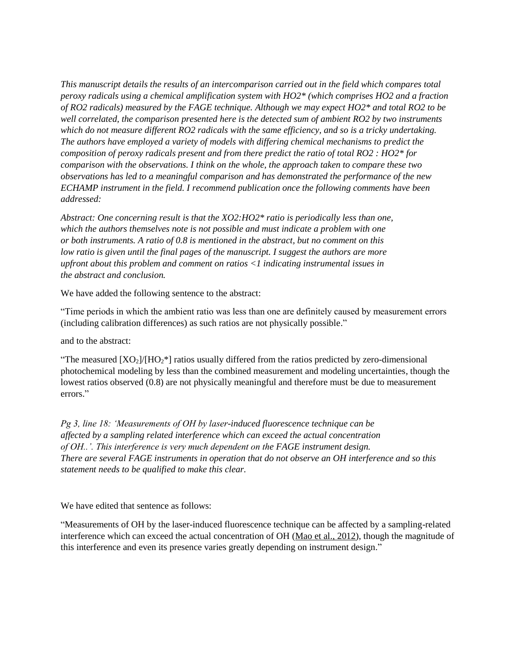*This manuscript details the results of an intercomparison carried out in the field which compares total peroxy radicals using a chemical amplification system with HO2\* (which comprises HO2 and a fraction of RO2 radicals) measured by the FAGE technique. Although we may expect HO2\* and total RO2 to be well correlated, the comparison presented here is the detected sum of ambient RO2 by two instruments which do not measure different RO2 radicals with the same efficiency, and so is a tricky undertaking. The authors have employed a variety of models with differing chemical mechanisms to predict the composition of peroxy radicals present and from there predict the ratio of total RO2 : HO2\* for comparison with the observations. I think on the whole, the approach taken to compare these two observations has led to a meaningful comparison and has demonstrated the performance of the new ECHAMP instrument in the field. I recommend publication once the following comments have been addressed:*

*Abstract: One concerning result is that the XO2:HO2\* ratio is periodically less than one, which the authors themselves note is not possible and must indicate a problem with one or both instruments. A ratio of 0.8 is mentioned in the abstract, but no comment on this low ratio is given until the final pages of the manuscript. I suggest the authors are more upfront about this problem and comment on ratios <1 indicating instrumental issues in the abstract and conclusion.*

We have added the following sentence to the abstract:

"Time periods in which the ambient ratio was less than one are definitely caused by measurement errors (including calibration differences) as such ratios are not physically possible."

and to the abstract:

"The measured  $[XO_2]/[HO_2^*]$  ratios usually differed from the ratios predicted by zero-dimensional photochemical modeling by less than the combined measurement and modeling uncertainties, though the lowest ratios observed (0.8) are not physically meaningful and therefore must be due to measurement errors."

*Pg 3, line 18: 'Measurements of OH by laser-induced fluorescence technique can be affected by a sampling related interference which can exceed the actual concentration of OH..'. This interference is very much dependent on the FAGE instrument design. There are several FAGE instruments in operation that do not observe an OH interference and so this statement needs to be qualified to make this clear.*

We have edited that sentence as follows:

"Measurements of OH by the laser-induced fluorescence technique can be affected by a sampling-related interference which can exceed the actual concentration of OH [\(Mao et al., 2012\)](#page-11-9), though the magnitude of this interference and even its presence varies greatly depending on instrument design."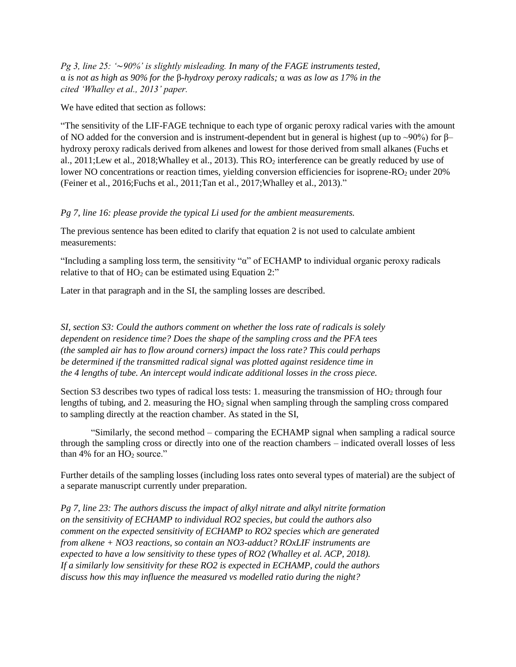*Pg 3, line 25: '*∼*90%' is slightly misleading. In many of the FAGE instruments tested,* α *is not as high as 90% for the* β*-hydroxy peroxy radicals;* α *was as low as 17% in the cited 'Whalley et al., 2013' paper.*

We have edited that section as follows:

"The sensitivity of the LIF-FAGE technique to each type of organic peroxy radical varies with the amount of NO added for the conversion and is instrument-dependent but in general is highest (up to ~90%) for  $\beta$ – hydroxy peroxy radicals derived from alkenes and lowest for those derived from small alkanes [\(Fuchs et](#page-11-10)  [al., 2011](#page-11-10)[;Lew et al., 2018;](#page-11-11)[Whalley et al., 2013\)](#page-12-0). This RO<sup>2</sup> interference can be greatly reduced by use of lower NO concentrations or reaction times, yielding conversion efficiencies for isoprene-RO<sub>2</sub> under 20% [\(Feiner et al., 2016;](#page-11-12)[Fuchs et al., 2011;](#page-11-10)[Tan et al., 2017](#page-11-13)[;Whalley et al., 2013\)](#page-12-0)."

## *Pg 7, line 16: please provide the typical Li used for the ambient measurements.*

The previous sentence has been edited to clarify that equation 2 is not used to calculate ambient measurements:

"Including a sampling loss term, the sensitivity " $\alpha$ " of ECHAMP to individual organic peroxy radicals relative to that of  $HO_2$  can be estimated using Equation 2:"

Later in that paragraph and in the SI, the sampling losses are described.

*SI, section S3: Could the authors comment on whether the loss rate of radicals is solely dependent on residence time? Does the shape of the sampling cross and the PFA tees (the sampled air has to flow around corners) impact the loss rate? This could perhaps be determined if the transmitted radical signal was plotted against residence time in the 4 lengths of tube. An intercept would indicate additional losses in the cross piece.*

Section S3 describes two types of radical loss tests: 1. measuring the transmission of HO<sub>2</sub> through four lengths of tubing, and 2. measuring the HO<sub>2</sub> signal when sampling through the sampling cross compared to sampling directly at the reaction chamber. As stated in the SI,

"Similarly, the second method – comparing the ECHAMP signal when sampling a radical source through the sampling cross or directly into one of the reaction chambers – indicated overall losses of less than  $4\%$  for an  $HO_2$  source."

Further details of the sampling losses (including loss rates onto several types of material) are the subject of a separate manuscript currently under preparation.

*Pg 7, line 23: The authors discuss the impact of alkyl nitrate and alkyl nitrite formation on the sensitivity of ECHAMP to individual RO2 species, but could the authors also comment on the expected sensitivity of ECHAMP to RO2 species which are generated from alkene + NO3 reactions, so contain an NO3-adduct? ROxLIF instruments are expected to have a low sensitivity to these types of RO2 (Whalley et al. ACP, 2018). If a similarly low sensitivity for these RO2 is expected in ECHAMP, could the authors discuss how this may influence the measured vs modelled ratio during the night?*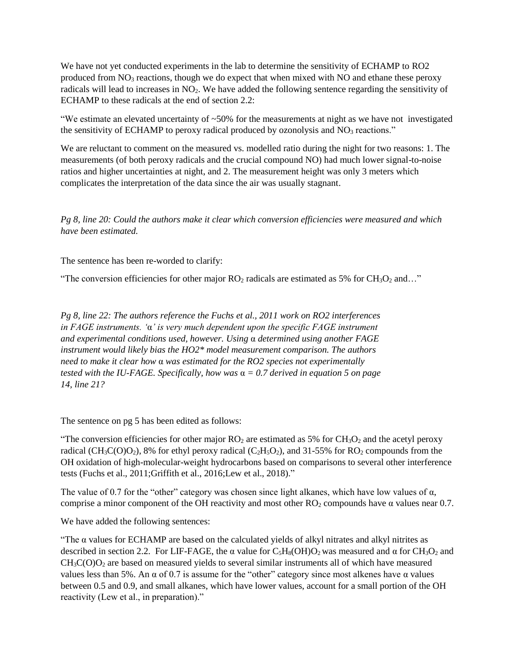We have not yet conducted experiments in the lab to determine the sensitivity of ECHAMP to RO2 produced from  $NO<sub>3</sub>$  reactions, though we do expect that when mixed with NO and ethane these peroxy radicals will lead to increases in NO2. We have added the following sentence regarding the sensitivity of ECHAMP to these radicals at the end of section 2.2:

"We estimate an elevated uncertainty of  $\sim$ 50% for the measurements at night as we have not investigated the sensitivity of ECHAMP to peroxy radical produced by ozonolysis and  $NO<sub>3</sub>$  reactions."

We are reluctant to comment on the measured vs. modelled ratio during the night for two reasons: 1. The measurements (of both peroxy radicals and the crucial compound NO) had much lower signal-to-noise ratios and higher uncertainties at night, and 2. The measurement height was only 3 meters which complicates the interpretation of the data since the air was usually stagnant.

*Pg 8, line 20: Could the authors make it clear which conversion efficiencies were measured and which have been estimated.*

The sentence has been re-worded to clarify:

"The conversion efficiencies for other major  $RO<sub>2</sub>$  radicals are estimated as 5% for  $CH<sub>3</sub>O<sub>2</sub>$  and..."

*Pg 8, line 22: The authors reference the Fuchs et al., 2011 work on RO2 interferences in FAGE instruments. '*α*' is very much dependent upon the specific FAGE instrument and experimental conditions used, however. Using* α *determined using another FAGE instrument would likely bias the HO2\* model measurement comparison. The authors need to make it clear how* α *was estimated for the RO2 species not experimentally tested with the IU-FAGE. Specifically, how was* α *= 0.7 derived in equation 5 on page 14, line 21?*

The sentence on pg 5 has been edited as follows:

"The conversion efficiencies for other major  $RO<sub>2</sub>$  are estimated as 5% for  $CH<sub>3</sub>O<sub>2</sub>$  and the acetyl peroxy radical (CH<sub>3</sub>C(O)O<sub>2</sub>), 8% for ethyl peroxy radical (C<sub>2</sub>H<sub>5</sub>O<sub>2</sub>), and 31-55% for RO<sub>2</sub> compounds from the OH oxidation of high-molecular-weight hydrocarbons based on comparisons to several other interference tests [\(Fuchs et al., 2011;](#page-11-10)[Griffith et al., 2016](#page-11-14)[;Lew et al., 2018\)](#page-11-11)."

The value of 0.7 for the "other" category was chosen since light alkanes, which have low values of  $\alpha$ , comprise a minor component of the OH reactivity and most other  $RO<sub>2</sub>$  compounds have  $\alpha$  values near 0.7.

We have added the following sentences:

"The  $\alpha$  values for ECHAMP are based on the calculated yields of alkyl nitrates and alkyl nitrites as described in section 2.2. For LIF-FAGE, the  $\alpha$  value for C<sub>5</sub>H<sub>8</sub>(OH)O<sub>2</sub> was measured and  $\alpha$  for CH<sub>3</sub>O<sub>2</sub> and  $CH<sub>3</sub>C(O)O<sub>2</sub>$  are based on measured yields to several similar instruments all of which have measured values less than 5%. An α of 0.7 is assume for the "other" category since most alkenes have α values between 0.5 and 0.9, and small alkanes, which have lower values, account for a small portion of the OH reactivity (Lew et al., in preparation)."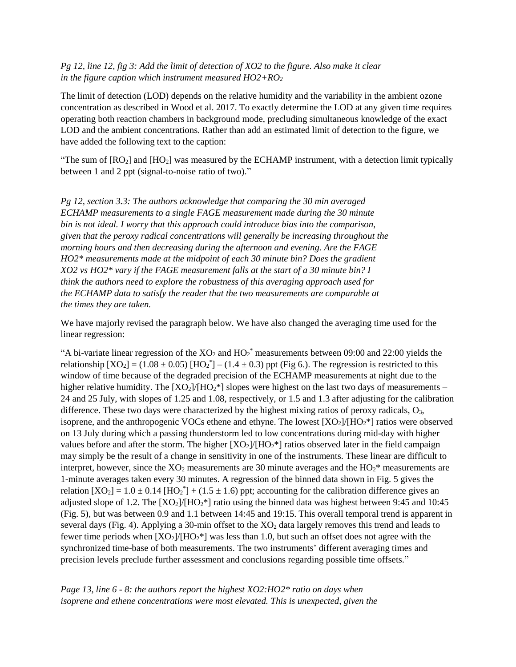## *Pg 12, line 12, fig 3: Add the limit of detection of XO2 to the figure. Also make it clear in the figure caption which instrument measured HO2+RO<sup>2</sup>*

The limit of detection (LOD) depends on the relative humidity and the variability in the ambient ozone concentration as described in Wood et al. 2017. To exactly determine the LOD at any given time requires operating both reaction chambers in background mode, precluding simultaneous knowledge of the exact LOD and the ambient concentrations. Rather than add an estimated limit of detection to the figure, we have added the following text to the caption:

"The sum of  $[RO_2]$  and  $[HO_2]$  was measured by the ECHAMP instrument, with a detection limit typically between 1 and 2 ppt (signal-to-noise ratio of two)."

*Pg 12, section 3.3: The authors acknowledge that comparing the 30 min averaged ECHAMP measurements to a single FAGE measurement made during the 30 minute bin is not ideal. I worry that this approach could introduce bias into the comparison, given that the peroxy radical concentrations will generally be increasing throughout the morning hours and then decreasing during the afternoon and evening. Are the FAGE HO2\* measurements made at the midpoint of each 30 minute bin? Does the gradient XO2 vs HO2\* vary if the FAGE measurement falls at the start of a 30 minute bin? I think the authors need to explore the robustness of this averaging approach used for the ECHAMP data to satisfy the reader that the two measurements are comparable at the times they are taken.*

We have majorly revised the paragraph below. We have also changed the averaging time used for the linear regression:

"A bi-variate linear regression of the  $XO_2$  and  $HO_2^*$  measurements between 09:00 and 22:00 yields the relationship  $[XO_2] = (1.08 \pm 0.05) [HO_2^*] - (1.4 \pm 0.3)$  ppt (Fig 6.). The regression is restricted to this window of time because of the degraded precision of the ECHAMP measurements at night due to the higher relative humidity. The  $[XO_2]/[HO_2^*]$  slopes were highest on the last two days of measurements – 24 and 25 July, with slopes of 1.25 and 1.08, respectively, or 1.5 and 1.3 after adjusting for the calibration difference. These two days were characterized by the highest mixing ratios of peroxy radicals, O<sub>3</sub>, isoprene, and the anthropogenic VOCs ethene and ethyne. The lowest  $[XO_2]/[HO_2^*]$  ratios were observed on 13 July during which a passing thunderstorm led to low concentrations during mid-day with higher values before and after the storm. The higher  $[XO_2]/[HO_2^*]$  ratios observed later in the field campaign may simply be the result of a change in sensitivity in one of the instruments. These linear are difficult to interpret, however, since the  $XO_2$  measurements are 30 minute averages and the  $HO_2^*$  measurements are 1-minute averages taken every 30 minutes. A regression of the binned data shown in Fig. 5 gives the relation  $[XO_2] = 1.0 \pm 0.14$   $[HO_2^*] + (1.5 \pm 1.6)$  ppt; accounting for the calibration difference gives an adjusted slope of 1.2. The  $[XO_2]/[HO_2^*]$  ratio using the binned data was highest between 9:45 and 10:45 (Fig. 5), but was between 0.9 and 1.1 between 14:45 and 19:15. This overall temporal trend is apparent in several days (Fig. 4). Applying a 30-min offset to the  $XO<sub>2</sub>$  data largely removes this trend and leads to fewer time periods when  $[XO_2]/[HO_2^*]$  was less than 1.0, but such an offset does not agree with the synchronized time-base of both measurements. The two instruments' different averaging times and precision levels preclude further assessment and conclusions regarding possible time offsets."

*Page 13, line 6 - 8: the authors report the highest XO2:HO2\* ratio on days when isoprene and ethene concentrations were most elevated. This is unexpected, given the*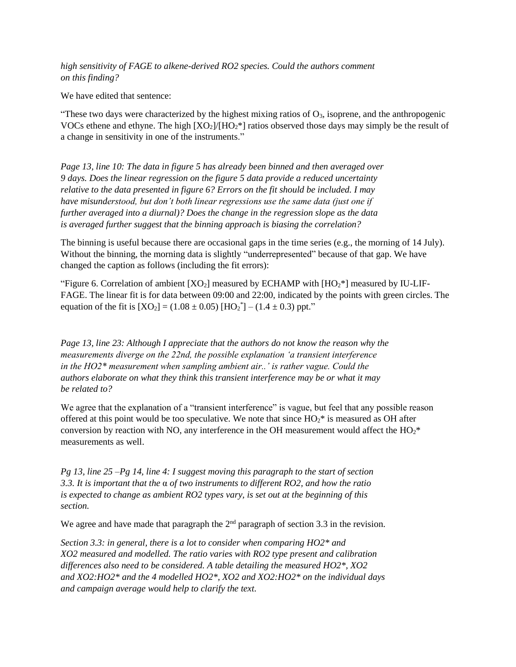*high sensitivity of FAGE to alkene-derived RO2 species. Could the authors comment on this finding?*

We have edited that sentence:

"These two days were characterized by the highest mixing ratios of  $O<sub>3</sub>$ , isoprene, and the anthropogenic VOCs ethene and ethyne. The high  $[XO_2]/[HO_2^*]$  ratios observed those days may simply be the result of a change in sensitivity in one of the instruments."

*Page 13, line 10: The data in figure 5 has already been binned and then averaged over 9 days. Does the linear regression on the figure 5 data provide a reduced uncertainty relative to the data presented in figure 6? Errors on the fit should be included. I may have misunderstood, but don't both linear regressions use the same data (just one if further averaged into a diurnal)? Does the change in the regression slope as the data is averaged further suggest that the binning approach is biasing the correlation?* 

The binning is useful because there are occasional gaps in the time series (e.g., the morning of 14 July). Without the binning, the morning data is slightly "underrepresented" because of that gap. We have changed the caption as follows (including the fit errors):

"Figure 6. Correlation of ambient  $[XO_2]$  measured by ECHAMP with  $[HO_2^*]$  measured by IU-LIF-FAGE. The linear fit is for data between 09:00 and 22:00, indicated by the points with green circles. The equation of the fit is  $[XO_2] = (1.08 \pm 0.05) [HO_2^*] - (1.4 \pm 0.3)$  ppt."

*Page 13, line 23: Although I appreciate that the authors do not know the reason why the measurements diverge on the 22nd, the possible explanation 'a transient interference in the HO2\* measurement when sampling ambient air..' is rather vague. Could the authors elaborate on what they think this transient interference may be or what it may be related to?*

We agree that the explanation of a "transient interference" is vague, but feel that any possible reason offered at this point would be too speculative. We note that since  $HO<sub>2</sub><sup>*</sup>$  is measured as OH after conversion by reaction with NO, any interference in the OH measurement would affect the  $HO_2^*$ measurements as well.

*Pg 13, line 25 –Pg 14, line 4: I suggest moving this paragraph to the start of section 3.3. It is important that the* α *of two instruments to different RO2, and how the ratio is expected to change as ambient RO2 types vary, is set out at the beginning of this section.* 

We agree and have made that paragraph the  $2<sup>nd</sup>$  paragraph of section 3.3 in the revision.

*Section 3.3: in general, there is a lot to consider when comparing HO2\* and XO2 measured and modelled. The ratio varies with RO2 type present and calibration differences also need to be considered. A table detailing the measured HO2\*, XO2 and XO2:HO2\* and the 4 modelled HO2\*, XO2 and XO2:HO2\* on the individual days and campaign average would help to clarify the text.*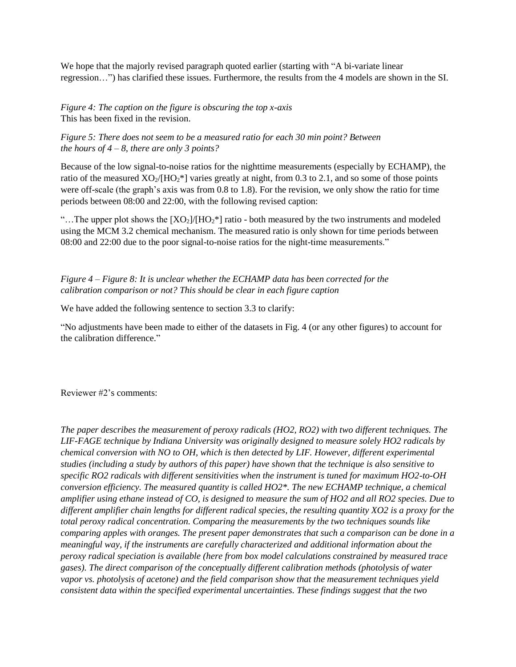We hope that the majorly revised paragraph quoted earlier (starting with "A bi-variate linear regression…") has clarified these issues. Furthermore, the results from the 4 models are shown in the SI.

*Figure 4: The caption on the figure is obscuring the top x-axis* This has been fixed in the revision.

*Figure 5: There does not seem to be a measured ratio for each 30 min point? Between the hours of 4 – 8, there are only 3 points?*

Because of the low signal-to-noise ratios for the nighttime measurements (especially by ECHAMP), the ratio of the measured  $XO_2/[HO_2^*]$  varies greatly at night, from 0.3 to 2.1, and so some of those points were off-scale (the graph's axis was from 0.8 to 1.8). For the revision, we only show the ratio for time periods between 08:00 and 22:00, with the following revised caption:

"...The upper plot shows the  $[XO_2]/[HO_2^*]$  ratio - both measured by the two instruments and modeled using the MCM 3.2 chemical mechanism. The measured ratio is only shown for time periods between 08:00 and 22:00 due to the poor signal-to-noise ratios for the night-time measurements."

*Figure 4 – Figure 8: It is unclear whether the ECHAMP data has been corrected for the calibration comparison or not? This should be clear in each figure caption*

We have added the following sentence to section 3.3 to clarify:

"No adjustments have been made to either of the datasets in Fig. 4 (or any other figures) to account for the calibration difference."

## Reviewer #2's comments:

*The paper describes the measurement of peroxy radicals (HO2, RO2) with two different techniques. The LIF-FAGE technique by Indiana University was originally designed to measure solely HO2 radicals by chemical conversion with NO to OH, which is then detected by LIF. However, different experimental studies (including a study by authors of this paper) have shown that the technique is also sensitive to specific RO2 radicals with different sensitivities when the instrument is tuned for maximum HO2-to-OH conversion efficiency. The measured quantity is called HO2\*. The new ECHAMP technique, a chemical amplifier using ethane instead of CO, is designed to measure the sum of HO2 and all RO2 species. Due to different amplifier chain lengths for different radical species, the resulting quantity XO2 is a proxy for the total peroxy radical concentration. Comparing the measurements by the two techniques sounds like comparing apples with oranges. The present paper demonstrates that such a comparison can be done in a meaningful way, if the instruments are carefully characterized and additional information about the peroxy radical speciation is available (here from box model calculations constrained by measured trace gases). The direct comparison of the conceptually different calibration methods (photolysis of water vapor vs. photolysis of acetone) and the field comparison show that the measurement techniques yield consistent data within the specified experimental uncertainties. These findings suggest that the two*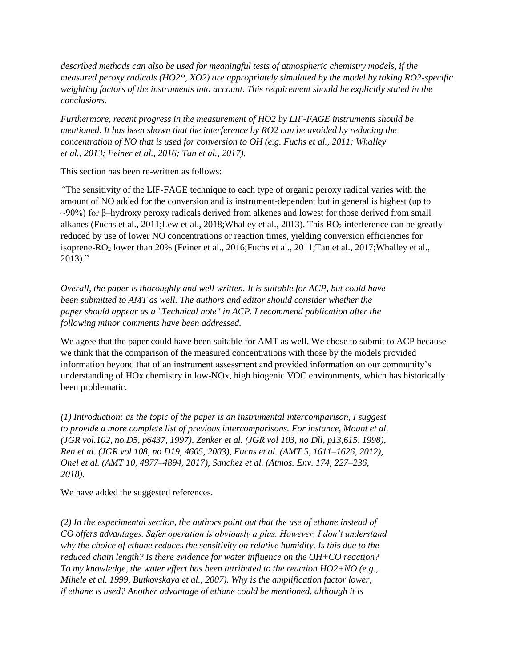*described methods can also be used for meaningful tests of atmospheric chemistry models, if the measured peroxy radicals (HO2\*, XO2) are appropriately simulated by the model by taking RO2-specific weighting factors of the instruments into account. This requirement should be explicitly stated in the conclusions.* 

*Furthermore, recent progress in the measurement of HO2 by LIF-FAGE instruments should be mentioned. It has been shown that the interference by RO2 can be avoided by reducing the concentration of NO that is used for conversion to OH (e.g. Fuchs et al., 2011; Whalley et al., 2013; Feiner et al., 2016; Tan et al., 2017).*

This section has been re-written as follows:

*"*The sensitivity of the LIF-FAGE technique to each type of organic peroxy radical varies with the amount of NO added for the conversion and is instrument-dependent but in general is highest (up to  $\sim$ 90%) for β–hydroxy peroxy radicals derived from alkenes and lowest for those derived from small alkanes [\(Fuchs et al., 2011;](#page-11-10)[Lew et al., 2018](#page-11-11)[;Whalley et al., 2013\)](#page-12-0). This RO<sup>2</sup> interference can be greatly reduced by use of lower NO concentrations or reaction times, yielding conversion efficiencies for isoprene-RO<sup>2</sup> lower than 20% [\(Feiner et al., 2016](#page-11-12)[;Fuchs et al., 2011](#page-11-10)[;Tan et al., 2017](#page-11-13)[;Whalley et al.,](#page-12-0)  [2013\)](#page-12-0)."

*Overall, the paper is thoroughly and well written. It is suitable for ACP, but could have been submitted to AMT as well. The authors and editor should consider whether the paper should appear as a "Technical note" in ACP. I recommend publication after the following minor comments have been addressed.*

We agree that the paper could have been suitable for AMT as well. We chose to submit to ACP because we think that the comparison of the measured concentrations with those by the models provided information beyond that of an instrument assessment and provided information on our community's understanding of HOx chemistry in low-NOx, high biogenic VOC environments, which has historically been problematic.

*(1) Introduction: as the topic of the paper is an instrumental intercomparison, I suggest to provide a more complete list of previous intercomparisons. For instance, Mount et al. (JGR vol.102, no.D5, p6437, 1997), Zenker et al. (JGR vol 103, no Dll, p13,615, 1998), Ren et al. (JGR vol 108, no D19, 4605, 2003), Fuchs et al. (AMT 5, 1611–1626, 2012), Onel et al. (AMT 10, 4877–4894, 2017), Sanchez et al. (Atmos. Env. 174, 227–236, 2018).*

We have added the suggested references.

*(2) In the experimental section, the authors point out that the use of ethane instead of CO offers advantages. Safer operation is obviously a plus. However, I don't understand why the choice of ethane reduces the sensitivity on relative humidity. Is this due to the reduced chain length? Is there evidence for water influence on the OH+CO reaction? To my knowledge, the water effect has been attributed to the reaction HO2+NO (e.g., Mihele et al. 1999, Butkovskaya et al., 2007). Why is the amplification factor lower, if ethane is used? Another advantage of ethane could be mentioned, although it is*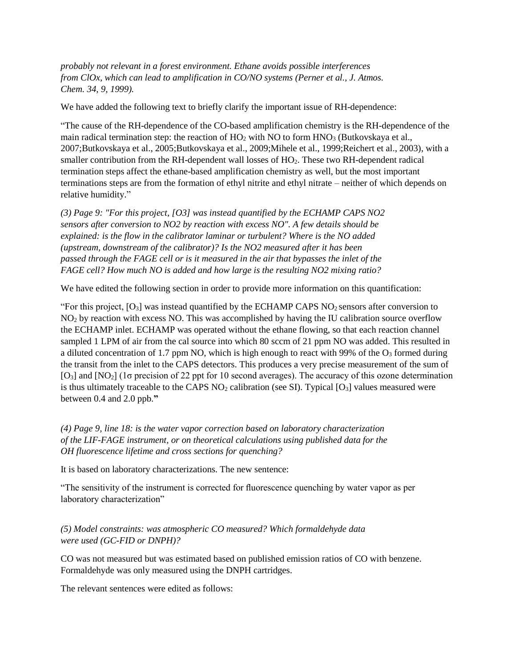*probably not relevant in a forest environment. Ethane avoids possible interferences from ClOx, which can lead to amplification in CO/NO systems (Perner et al., J. Atmos. Chem. 34, 9, 1999).*

We have added the following text to briefly clarify the important issue of RH-dependence:

"The cause of the RH-dependence of the CO-based amplification chemistry is the RH-dependence of the main radical termination step: the reaction of  $HO<sub>2</sub>$  with NO to form  $HNO<sub>3</sub>$  (Butkovskaya et al., [2007](#page-11-4)[;Butkovskaya et al., 2005](#page-11-5)[;Butkovskaya et al., 2009](#page-11-6)[;Mihele et al., 1999](#page-11-7)[;Reichert et al., 2003\)](#page-11-8), with a smaller contribution from the RH-dependent wall losses of HO2. These two RH-dependent radical termination steps affect the ethane-based amplification chemistry as well, but the most important terminations steps are from the formation of ethyl nitrite and ethyl nitrate – neither of which depends on relative humidity."

*(3) Page 9: "For this project, [O3] was instead quantified by the ECHAMP CAPS NO2 sensors after conversion to NO2 by reaction with excess NO". A few details should be explained: is the flow in the calibrator laminar or turbulent? Where is the NO added (upstream, downstream of the calibrator)? Is the NO2 measured after it has been passed through the FAGE cell or is it measured in the air that bypasses the inlet of the FAGE cell? How much NO is added and how large is the resulting NO2 mixing ratio?*

We have edited the following section in order to provide more information on this quantification:

"For this project,  $[O_3]$  was instead quantified by the ECHAMP CAPS NO<sub>2</sub> sensors after conversion to NO<sup>2</sup> by reaction with excess NO. This was accomplished by having the IU calibration source overflow the ECHAMP inlet. ECHAMP was operated without the ethane flowing, so that each reaction channel sampled 1 LPM of air from the cal source into which 80 sccm of 21 ppm NO was added. This resulted in a diluted concentration of 1.7 ppm NO, which is high enough to react with 99% of the  $O<sub>3</sub>$  formed during the transit from the inlet to the CAPS detectors. This produces a very precise measurement of the sum of  $[O_3]$  and  $[NO_2]$  (1 $\sigma$  precision of 22 ppt for 10 second averages). The accuracy of this ozone determination is thus ultimately traceable to the CAPS  $NO<sub>2</sub>$  calibration (see SI). Typical [ $O<sub>3</sub>$ ] values measured were between 0.4 and 2.0 ppb.**"**

*(4) Page 9, line 18: is the water vapor correction based on laboratory characterization of the LIF-FAGE instrument, or on theoretical calculations using published data for the OH fluorescence lifetime and cross sections for quenching?*

It is based on laboratory characterizations. The new sentence:

"The sensitivity of the instrument is corrected for fluorescence quenching by water vapor as per laboratory characterization"

*(5) Model constraints: was atmospheric CO measured? Which formaldehyde data were used (GC-FID or DNPH)?* 

CO was not measured but was estimated based on published emission ratios of CO with benzene. Formaldehyde was only measured using the DNPH cartridges.

The relevant sentences were edited as follows: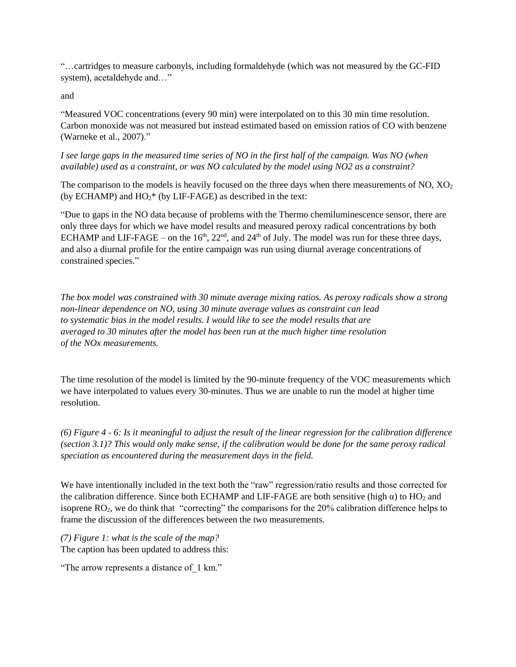"…cartridges to measure carbonyls, including formaldehyde (which was not measured by the GC-FID system), acetaldehyde and…"

and

"Measured VOC concentrations (every 90 min) were interpolated on to this 30 min time resolution. Carbon monoxide was not measured but instead estimated based on emission ratios of CO with benzene [\(Warneke et al., 2007\)](#page-12-1)."

*I see large gaps in the measured time series of NO in the first half of the campaign. Was NO (when available) used as a constraint, or was NO calculated by the model using NO2 as a constraint?* 

The comparison to the models is heavily focused on the three days when there measurements of NO, XO<sub>2</sub> (by ECHAMP) and  $HO_2^*$  (by LIF-FAGE) as described in the text:

"Due to gaps in the NO data because of problems with the Thermo chemiluminescence sensor, there are only three days for which we have model results and measured peroxy radical concentrations by both ECHAMP and LIF-FAGE – on the  $16<sup>th</sup>$ ,  $22<sup>nd</sup>$ , and  $24<sup>th</sup>$  of July. The model was run for these three days, and also a diurnal profile for the entire campaign was run using diurnal average concentrations of constrained species."

*The box model was constrained with 30 minute average mixing ratios. As peroxy radicals show a strong non-linear dependence on NO, using 30 minute average values as constraint can lead to systematic bias in the model results. I would like to see the model results that are averaged to 30 minutes after the model has been run at the much higher time resolution of the NOx measurements.*

The time resolution of the model is limited by the 90-minute frequency of the VOC measurements which we have interpolated to values every 30-minutes. Thus we are unable to run the model at higher time resolution.

*(6) Figure 4 - 6: Is it meaningful to adjust the result of the linear regression for the calibration difference (section 3.1)? This would only make sense, if the calibration would be done for the same peroxy radical speciation as encountered during the measurement days in the field.*

We have intentionally included in the text both the "raw" regression/ratio results and those corrected for the calibration difference. Since both ECHAMP and LIF-FAGE are both sensitive (high  $\alpha$ ) to HO<sub>2</sub> and isoprene RO2, we do think that "correcting" the comparisons for the 20% calibration difference helps to frame the discussion of the differences between the two measurements.

*(7) Figure 1: what is the scale of the map?* The caption has been updated to address this:

"The arrow represents a distance of\_1 km."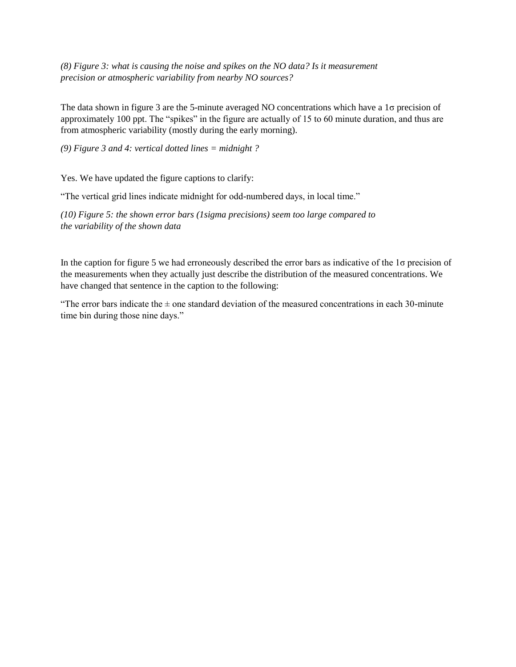*(8) Figure 3: what is causing the noise and spikes on the NO data? Is it measurement precision or atmospheric variability from nearby NO sources?*

The data shown in figure 3 are the 5-minute averaged NO concentrations which have a 1σ precision of approximately 100 ppt. The "spikes" in the figure are actually of 15 to 60 minute duration, and thus are from atmospheric variability (mostly during the early morning).

*(9) Figure 3 and 4: vertical dotted lines = midnight ?*

Yes. We have updated the figure captions to clarify:

"The vertical grid lines indicate midnight for odd-numbered days, in local time."

*(10) Figure 5: the shown error bars (1sigma precisions) seem too large compared to the variability of the shown data*

In the caption for figure 5 we had erroneously described the error bars as indicative of the 1σ precision of the measurements when they actually just describe the distribution of the measured concentrations. We have changed that sentence in the caption to the following:

"The error bars indicate the  $\pm$  one standard deviation of the measured concentrations in each 30-minute time bin during those nine days."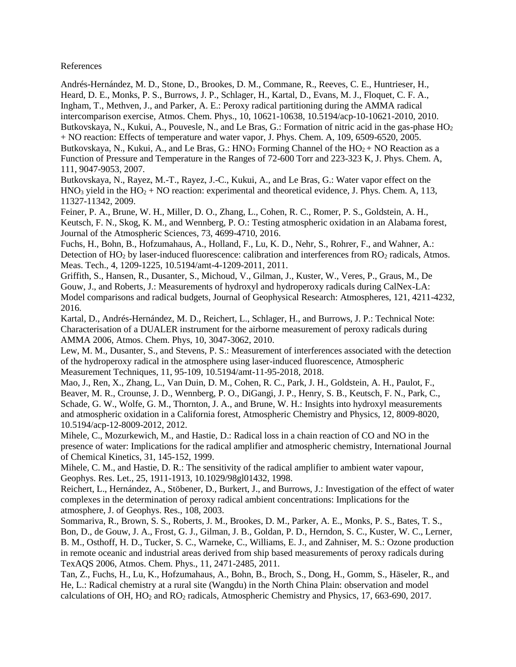References

<span id="page-11-5"></span><span id="page-11-1"></span>Andrés-Hernández, M. D., Stone, D., Brookes, D. M., Commane, R., Reeves, C. E., Huntrieser, H., Heard, D. E., Monks, P. S., Burrows, J. P., Schlager, H., Kartal, D., Evans, M. J., Floquet, C. F. A., Ingham, T., Methven, J., and Parker, A. E.: Peroxy radical partitioning during the AMMA radical intercomparison exercise, Atmos. Chem. Phys., 10, 10621-10638, 10.5194/acp-10-10621-2010, 2010. Butkovskaya, N., Kukui, A., Pouvesle, N., and Le Bras, G.: Formation of nitric acid in the gas-phase  $HO<sub>2</sub>$ + NO reaction: Effects of temperature and water vapor, J. Phys. Chem. A, 109, 6509-6520, 2005. Butkovskaya, N., Kukui, A., and Le Bras, G.: HNO<sub>3</sub> Forming Channel of the  $HO_2 + NO$  Reaction as a Function of Pressure and Temperature in the Ranges of 72-600 Torr and 223-323 K, J. Phys. Chem. A, 111, 9047-9053, 2007.

<span id="page-11-6"></span><span id="page-11-4"></span>Butkovskaya, N., Rayez, M.-T., Rayez, J.-C., Kukui, A., and Le Bras, G.: Water vapor effect on the  $HNO<sub>3</sub>$  yield in the  $HO<sub>2</sub> + NO$  reaction: experimental and theoretical evidence, J. Phys. Chem. A, 113, 11327-11342, 2009.

<span id="page-11-12"></span>Feiner, P. A., Brune, W. H., Miller, D. O., Zhang, L., Cohen, R. C., Romer, P. S., Goldstein, A. H., Keutsch, F. N., Skog, K. M., and Wennberg, P. O.: Testing atmospheric oxidation in an Alabama forest, Journal of the Atmospheric Sciences, 73, 4699-4710, 2016.

<span id="page-11-10"></span>Fuchs, H., Bohn, B., Hofzumahaus, A., Holland, F., Lu, K. D., Nehr, S., Rohrer, F., and Wahner, A.: Detection of HO<sub>2</sub> by laser-induced fluorescence: calibration and interferences from RO<sub>2</sub> radicals, Atmos. Meas. Tech., 4, 1209-1225, 10.5194/amt-4-1209-2011, 2011.

<span id="page-11-14"></span>Griffith, S., Hansen, R., Dusanter, S., Michoud, V., Gilman, J., Kuster, W., Veres, P., Graus, M., De Gouw, J., and Roberts, J.: Measurements of hydroxyl and hydroperoxy radicals during CalNex‐LA: Model comparisons and radical budgets, Journal of Geophysical Research: Atmospheres, 121, 4211-4232, 2016.

<span id="page-11-2"></span>Kartal, D., Andrés-Hernández, M. D., Reichert, L., Schlager, H., and Burrows, J. P.: Technical Note: Characterisation of a DUALER instrument for the airborne measurement of peroxy radicals during AMMA 2006, Atmos. Chem. Phys, 10, 3047-3062, 2010.

<span id="page-11-11"></span>Lew, M. M., Dusanter, S., and Stevens, P. S.: Measurement of interferences associated with the detection of the hydroperoxy radical in the atmosphere using laser-induced fluorescence, Atmospheric Measurement Techniques, 11, 95-109, 10.5194/amt-11-95-2018, 2018.

<span id="page-11-9"></span>Mao, J., Ren, X., Zhang, L., Van Duin, D. M., Cohen, R. C., Park, J. H., Goldstein, A. H., Paulot, F., Beaver, M. R., Crounse, J. D., Wennberg, P. O., DiGangi, J. P., Henry, S. B., Keutsch, F. N., Park, C., Schade, G. W., Wolfe, G. M., Thornton, J. A., and Brune, W. H.: Insights into hydroxyl measurements and atmospheric oxidation in a California forest, Atmospheric Chemistry and Physics, 12, 8009-8020, 10.5194/acp-12-8009-2012, 2012.

<span id="page-11-7"></span>Mihele, C., Mozurkewich, M., and Hastie, D.: Radical loss in a chain reaction of CO and NO in the presence of water: Implications for the radical amplifier and atmospheric chemistry, International Journal of Chemical Kinetics, 31, 145-152, 1999.

<span id="page-11-0"></span>Mihele, C. M., and Hastie, D. R.: The sensitivity of the radical amplifier to ambient water vapour, Geophys. Res. Let., 25, 1911-1913, 10.1029/98gl01432, 1998.

<span id="page-11-8"></span>Reichert, L., Hernández, A., Stöbener, D., Burkert, J., and Burrows, J.: Investigation of the effect of water complexes in the determination of peroxy radical ambient concentrations: Implications for the atmosphere, J. of Geophys. Res., 108, 2003.

<span id="page-11-3"></span>Sommariva, R., Brown, S. S., Roberts, J. M., Brookes, D. M., Parker, A. E., Monks, P. S., Bates, T. S., Bon, D., de Gouw, J. A., Frost, G. J., Gilman, J. B., Goldan, P. D., Herndon, S. C., Kuster, W. C., Lerner, B. M., Osthoff, H. D., Tucker, S. C., Warneke, C., Williams, E. J., and Zahniser, M. S.: Ozone production in remote oceanic and industrial areas derived from ship based measurements of peroxy radicals during TexAQS 2006, Atmos. Chem. Phys., 11, 2471-2485, 2011.

<span id="page-11-13"></span>Tan, Z., Fuchs, H., Lu, K., Hofzumahaus, A., Bohn, B., Broch, S., Dong, H., Gomm, S., Häseler, R., and He, L.: Radical chemistry at a rural site (Wangdu) in the North China Plain: observation and model calculations of OH, HO<sup>2</sup> and RO<sup>2</sup> radicals, Atmospheric Chemistry and Physics, 17, 663-690, 2017.